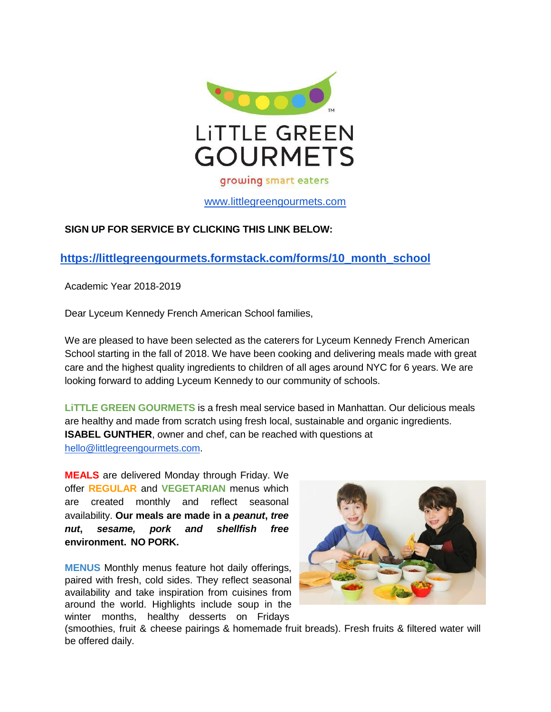

# [www.littlegreengourmets.com](http://www.littlegreengourmets.com/)

## **SIGN UP FOR SERVICE BY CLICKING THIS LINK BELOW:**

## **https://littlegreengourmets.formstack.com/forms/10\_month\_school**

Academic Year 2018-2019

Dear Lyceum Kennedy French American School families,

We are pleased to have been selected as the caterers for Lyceum Kennedy French American School starting in the fall of 2018. We have been cooking and delivering meals made with great care and the highest quality ingredients to children of all ages around NYC for 6 years. We are looking forward to adding Lyceum Kennedy to our community of schools.

**LiTTLE GREEN GOURMETS** is a fresh meal service based in Manhattan. Our delicious meals are healthy and made from scratch using fresh local, sustainable and organic ingredients. **ISABEL GUNTHER**, owner and chef, can be reached with questions at [hello@littlegreengourmets.com.](mailto:hello@littlegreengourmets.com)

**MEALS** are delivered Monday through Friday. We offer **REGULAR** and **VEGETARIAN** menus which are created monthly and reflect seasonal availability. **Our meals are made in a** *peanut***,** *tree nut***,** *sesame, pork and shellfish free* **environment. NO PORK.**

**MENUS** Monthly menus feature hot daily offerings, paired with fresh, cold sides. They reflect seasonal availability and take inspiration from cuisines from around the world. Highlights include soup in the winter months, healthy desserts on Fridays



(smoothies, fruit & cheese pairings & homemade fruit breads). Fresh fruits & filtered water will be offered daily.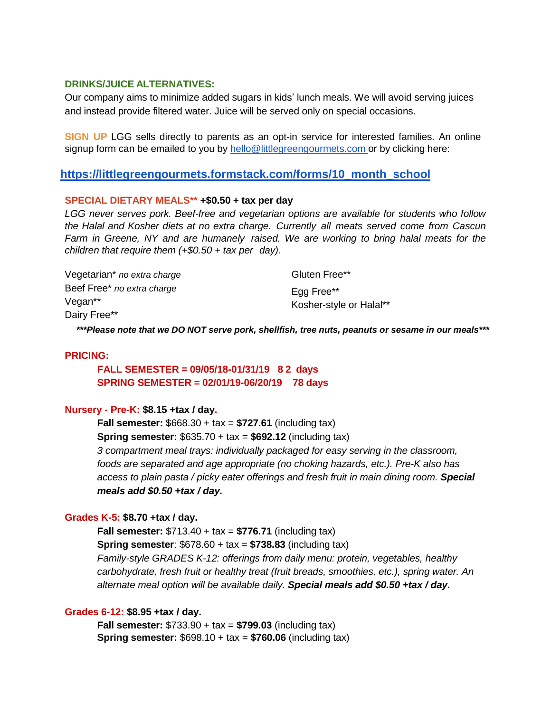#### **DRINKS/JUICE ALTERNATIVES:**

Our company aims to minimize added sugars in kids' lunch meals. We will avoid serving juices and instead provide filtered water. Juice will be served only on special occasions.

**SIGN UP** LGG sells directly to parents as an opt-in service for interested families. An online signup form can be emailed to you by [hello@littlegreengourmets.com](mailto:hello@littlegreengourmets.com) or by clicking here:

## **https://littlegreengourmets.formstack.com/forms/10\_month\_school**

#### **SPECIAL DIETARY MEALS\*\* +\$0.50 + tax per day**

*LGG never serves pork. Beef-free and vegetarian options are available for students who follow the Halal and Kosher diets at no extra charge. Currently all meats served come from Cascun Farm in Greene, NY and are humanely raised. We are working to bring halal meats for the children that require them (+\$0.50 + tax per day).*

Vegetarian\* *no extra charge* Beef Free\* *no extra charge* Vegan\*\* Dairy Free\*\* Gluten Free\*\* Egg Free\*\* Kosher-style or Halal\*\*

*\*\*\*Please note that we DO NOT serve pork, shellfish, tree nuts, peanuts or sesame in our meals\*\*\**

#### **PRICING:**

## **FALL SEMESTER = 09/05/18-01/31/19 8 2 days SPRING SEMESTER = 02/01/19-06/20/19 78 days**

#### **Nursery - Pre-K: \$8.15 +tax / day.**

**Fall semester:** \$668.30 + tax = **\$727.61** (including tax) **Spring semester:** \$635.70 + tax = **\$692.12** (including tax) *3 compartment meal trays: individually packaged for easy serving in the classroom, foods are separated and age appropriate (no choking hazards, etc.). Pre-K also has access to plain pasta / picky eater offerings and fresh fruit in main dining room. Special meals add \$0.50 +tax / day.*

#### **Grades K-5: \$8.70 +tax / day.**

**Fall semester:** \$713.40 + tax = **\$776.71** (including tax) **Spring semester**: \$678.60 + tax = **\$738.83** (including tax) *Family-style GRADES K-12: offerings from daily menu: protein, vegetables, healthy carbohydrate, fresh fruit or healthy treat (fruit breads, smoothies, etc.), spring water. An alternate meal option will be available daily. Special meals add \$0.50 +tax / day.*

#### **Grades 6-12: \$8.95 +tax / day.**

**Fall semester:** \$733.90 + tax = **\$799.03** (including tax) **Spring semester:** \$698.10 + tax = **\$760.06** (including tax)